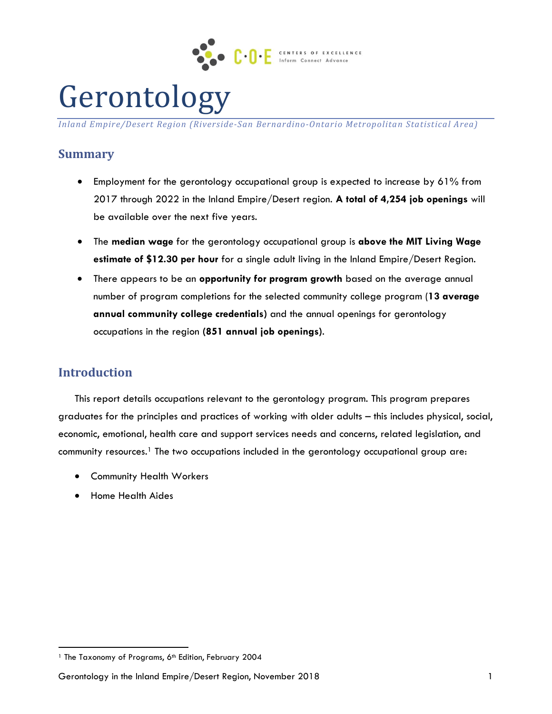

# Gerontology

*Inland Empire/Desert Region (Riverside-San Bernardino-Ontario Metropolitan Statistical Area)*

# **Summary**

- Employment for the gerontology occupational group is expected to increase by 61% from 2017 through 2022 in the Inland Empire/Desert region. **A total of 4,254 job openings** will be available over the next five years.
- The **median wage** for the gerontology occupational group is **above the MIT Living Wage estimate of \$12.30 per hour** for a single adult living in the Inland Empire/Desert Region.
- There appears to be an **opportunity for program growth** based on the average annual number of program completions for the selected community college program (**13 average annual community college credentials)** and the annual openings for gerontology occupations in the region **(851 annual job openings)**.

# **Introduction**

 $\overline{a}$ 

This report details occupations relevant to the gerontology program. This program prepares graduates for the principles and practices of working with older adults – this includes physical, social, economic, emotional, health care and support services needs and concerns, related legislation, and community resources. <sup>1</sup> The two occupations included in the gerontology occupational group are:

- **•** Community Health Workers
- Home Health Aides

<sup>&</sup>lt;sup>1</sup> The Taxonomy of Programs, 6<sup>th</sup> Edition, February 2004

Gerontology in the Inland Empire/Desert Region, November 2018 1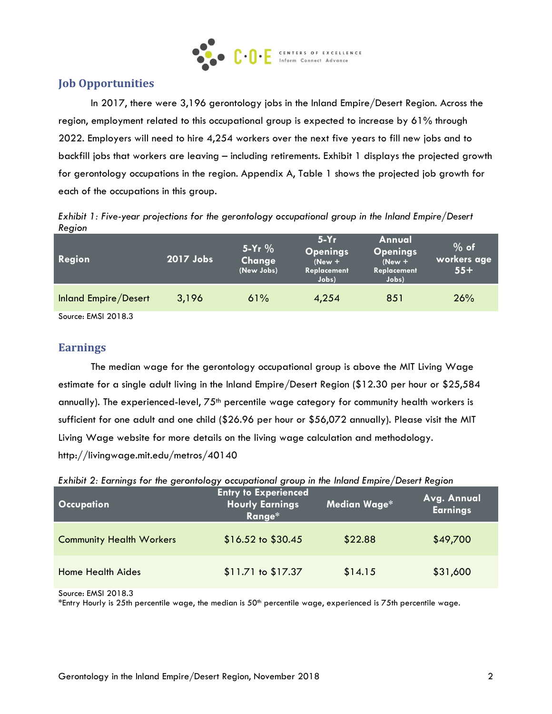

# **Job Opportunities**

In 2017, there were 3,196 gerontology jobs in the Inland Empire/Desert Region. Across the region, employment related to this occupational group is expected to increase by 61% through 2022. Employers will need to hire 4,254 workers over the next five years to fill new jobs and to backfill jobs that workers are leaving – including retirements. Exhibit 1 displays the projected growth for gerontology occupations in the region. Appendix A, Table 1 shows the projected job growth for each of the occupations in this group.

*Exhibit 1: Five-year projections for the gerontology occupational group in the Inland Empire/Desert Region*

| Region               | 2017 Jobs | $5-Yr$ %<br>Change<br>(New Jobs) | $5-Yr$<br><b>Openings</b><br>$(New +$<br>Replacement<br>Jobs) | Annual<br><b>Openings</b><br>$(New +$<br>Replacement<br>Jobs) | $%$ of<br>workers age<br>$55+$ |
|----------------------|-----------|----------------------------------|---------------------------------------------------------------|---------------------------------------------------------------|--------------------------------|
| Inland Empire/Desert | 3,196     | 61%                              | 4,254                                                         | 851                                                           | 26%                            |
| Source: FMSL 2018.3  |           |                                  |                                                               |                                                               |                                |

Source: EMSI 2018.3

# **Earnings**

The median wage for the gerontology occupational group is above the MIT Living Wage estimate for a single adult living in the Inland Empire/Desert Region (\$12.30 per hour or \$25,584 annually). The experienced-level, 75<sup>th</sup> percentile wage category for community health workers is sufficient for one adult and one child (\$26.96 per hour or \$56,072 annually). Please visit the MIT Living Wage website for more details on the living wage calculation and methodology. http://livingwage.mit.edu/metros/40140

| ັ<br><b>Occupation</b>          | <b>Entry to Experienced</b><br><b>Hourly Earnings</b><br>Range* | Median Wage* | Avg. Annual<br><b>Earnings</b> |
|---------------------------------|-----------------------------------------------------------------|--------------|--------------------------------|
| <b>Community Health Workers</b> | $$16.52$ to $$30.45$                                            | \$22.88      | \$49,700                       |
| <b>Home Health Aides</b>        | \$11.71 to \$17.37                                              | \$14.15      | \$31,600                       |

*Exhibit 2: Earnings for the gerontology occupational group in the Inland Empire/Desert Region*

Source: EMSI 2018.3

 $*$ Entry Hourly is 25th percentile wage, the median is 50<sup>th</sup> percentile wage, experienced is 75th percentile wage.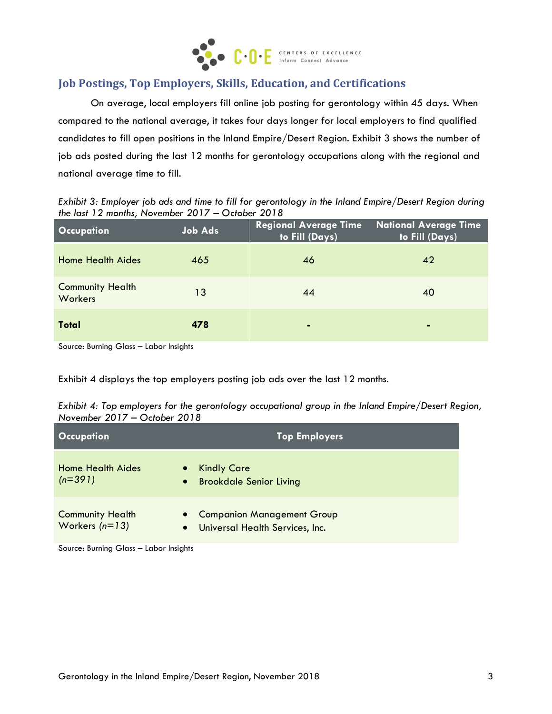

# **Job Postings, Top Employers, Skills, Education, and Certifications**

On average, local employers fill online job posting for gerontology within 45 days. When compared to the national average, it takes four days longer for local employers to find qualified candidates to fill open positions in the Inland Empire/Desert Region. Exhibit 3 shows the number of job ads posted during the last 12 months for gerontology occupations along with the regional and national average time to fill.

*Exhibit 3: Employer job ads and time to fill for gerontology in the Inland Empire/Desert Region during the last 12 months, November 2017 – October 2018*

| <b>Occupation</b>                  | <b>Job Ads</b> | <b>Regional Average Time</b><br>to Fill (Days) | <b>National Average Time</b><br>to Fill (Days) |
|------------------------------------|----------------|------------------------------------------------|------------------------------------------------|
| <b>Home Health Aides</b>           | 465            | 46                                             | 42                                             |
| <b>Community Health</b><br>Workers | 13             | 44                                             | 40                                             |
| <b>Total</b>                       | 478            | $\equiv$                                       | $\blacksquare$                                 |

Source: Burning Glass – Labor Insights

Exhibit 4 displays the top employers posting job ads over the last 12 months.

*Exhibit 4: Top employers for the gerontology occupational group in the Inland Empire/Desert Region, November 2017 – October 2018*

| <b>Occupation</b>                           | <b>Top Employers</b>                                                                           |
|---------------------------------------------|------------------------------------------------------------------------------------------------|
| <b>Home Health Aides</b><br>$(n=391)$       | <b>Kindly Care</b><br>$\bullet$<br><b>Brookdale Senior Living</b><br>$\bullet$                 |
| <b>Community Health</b><br>Workers $(n=13)$ | <b>Companion Management Group</b><br>$\bullet$<br>Universal Health Services, Inc.<br>$\bullet$ |

Source: Burning Glass – Labor Insights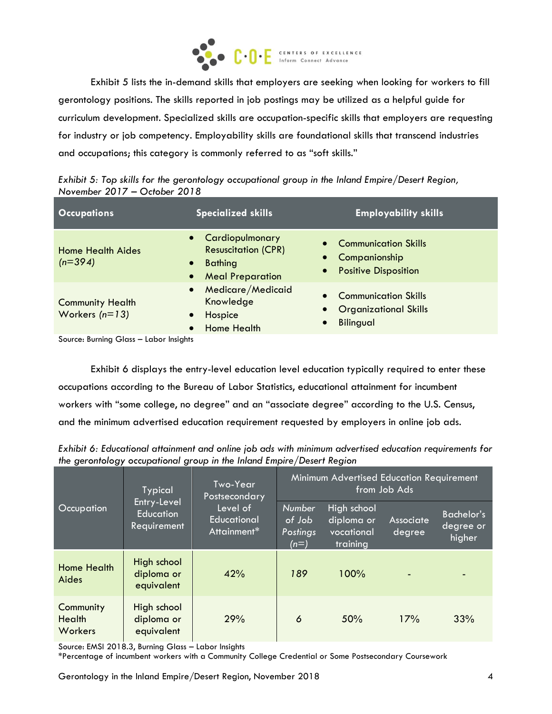

Exhibit 5 lists the in-demand skills that employers are seeking when looking for workers to fill gerontology positions. The skills reported in job postings may be utilized as a helpful guide for curriculum development. Specialized skills are occupation-specific skills that employers are requesting for industry or job competency. Employability skills are foundational skills that transcend industries and occupations; this category is commonly referred to as "soft skills."

| Exhibit 5: Top skills for the gerontology occupational group in the Inland Empire/Desert Region, |  |  |
|--------------------------------------------------------------------------------------------------|--|--|
| November $2017 -$ October 2018                                                                   |  |  |

| <b>Occupations</b>                                       | <b>Specialized skills</b>                                                                                                           | <b>Employability skills</b>                                                     |
|----------------------------------------------------------|-------------------------------------------------------------------------------------------------------------------------------------|---------------------------------------------------------------------------------|
| Home Health Aides<br>$(n=394)$<br>$\bullet$<br>$\bullet$ | • Cardiopulmonary<br>$\bullet$<br><b>Resuscitation (CPR)</b><br>$\bullet$<br><b>Bathing</b><br>$\bullet$<br><b>Meal Preparation</b> | <b>Communication Skills</b><br>Companionship<br><b>Positive Disposition</b>     |
| $\bullet$<br><b>Community Health</b><br>Workers $(n=13)$ | Medicare/Medicaid<br>Knowledge<br>$\bullet$<br>Hospice<br>$\bullet$<br><b>Home Health</b>                                           | <b>Communication Skills</b><br><b>Organizational Skills</b><br><b>Bilingual</b> |

Source: Burning Glass – Labor Insights

Exhibit 6 displays the entry-level education level education typically required to enter these occupations according to the Bureau of Labor Statistics, educational attainment for incumbent workers with "some college, no degree" and an "associate degree" according to the U.S. Census, and the minimum advertised education requirement requested by employers in online job ads.

| Exhibit 6: Educational attainment and online job ads with minimum advertised education requirements for |
|---------------------------------------------------------------------------------------------------------|
| the gerontology occupational group in the Inland Empire/Desert Region                                   |

|                                       | <b>Typical</b>                                                                           | Two-Year<br>Postsecondary | Minimum Advertised Education Requirement<br>from Job Ads |                                                     |                     |                                          |  |
|---------------------------------------|------------------------------------------------------------------------------------------|---------------------------|----------------------------------------------------------|-----------------------------------------------------|---------------------|------------------------------------------|--|
| Occupation                            | Entry-Level<br>Level of<br><b>Education</b><br>Educational<br>Requirement<br>Attainment* |                           | <b>Number</b><br>of Job<br>Postings<br>$(n=)$            | High school<br>diploma or<br>vocational<br>training | Associate<br>degree | <b>Bachelor's</b><br>degree or<br>higher |  |
| <b>Home Health</b><br>Aides           | High school<br>diploma or<br>equivalent                                                  | 42%                       | 189                                                      | 100%                                                |                     |                                          |  |
| Community<br><b>Health</b><br>Workers | High school<br>diploma or<br>equivalent                                                  | 29%                       | 6                                                        | 50%                                                 | 17%                 | 33%                                      |  |

Source: EMSI 2018.3, Burning Glass – Labor Insights

\*Percentage of incumbent workers with a Community College Credential or Some Postsecondary Coursework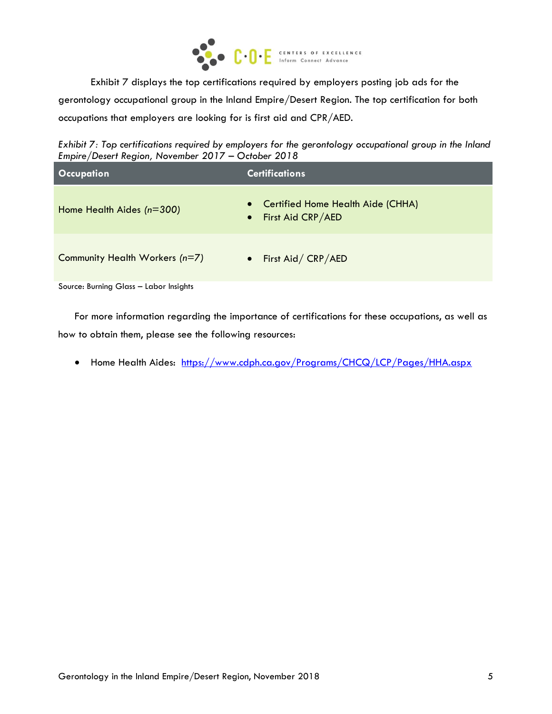

Exhibit 7 displays the top certifications required by employers posting job ads for the gerontology occupational group in the Inland Empire/Desert Region. The top certification for both occupations that employers are looking for is first aid and CPR/AED.

*Exhibit 7: Top certifications required by employers for the gerontology occupational group in the Inland Empire/Desert Region, November 2017 – October 2018*

| <b>Occupation</b>              | <b>Certifications</b>                                      |
|--------------------------------|------------------------------------------------------------|
| Home Health Aides $(n=300)$    | • Certified Home Health Aide (CHHA)<br>• First Aid CRP/AED |
| Community Health Workers (n=7) | • First Aid/ CRP/AED                                       |

Source: Burning Glass – Labor Insights

For more information regarding the importance of certifications for these occupations, as well as how to obtain them, please see the following resources:

• Home Health Aides: <https://www.cdph.ca.gov/Programs/CHCQ/LCP/Pages/HHA.aspx>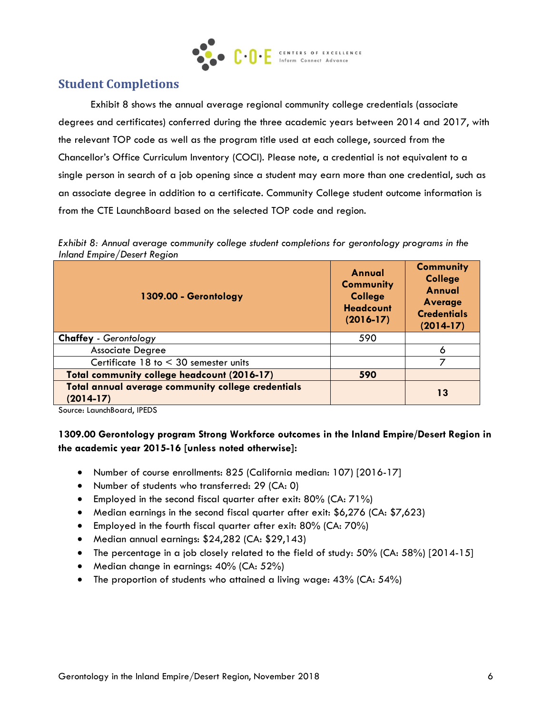

# **Student Completions**

Exhibit 8 shows the annual average regional community college credentials (associate degrees and certificates) conferred during the three academic years between 2014 and 2017, with the relevant TOP code as well as the program title used at each college, sourced from the Chancellor's Office Curriculum Inventory (COCI). Please note, a credential is not equivalent to a single person in search of a job opening since a student may earn more than one credential, such as an associate degree in addition to a certificate. Community College student outcome information is from the CTE LaunchBoard based on the selected TOP code and region.

*Exhibit 8: Annual average community college student completions for gerontology programs in the Inland Empire/Desert Region*

| 1309.00 - Gerontology                                             | Annual<br><b>Community</b><br><b>College</b><br><b>Headcount</b><br>$(2016-17)$ | <b>Community</b><br><b>College</b><br>Annual<br><b>Average</b><br><b>Credentials</b><br>$(2014-17)$ |
|-------------------------------------------------------------------|---------------------------------------------------------------------------------|-----------------------------------------------------------------------------------------------------|
| <b>Chaffey - Gerontology</b>                                      | 590                                                                             |                                                                                                     |
| <b>Associate Degree</b>                                           |                                                                                 | 6                                                                                                   |
| Certificate $18$ to $\leq 30$ semester units                      |                                                                                 |                                                                                                     |
| Total community college headcount (2016-17)                       | 590                                                                             |                                                                                                     |
| Total annual average community college credentials<br>$(2014-17)$ |                                                                                 | 13                                                                                                  |

Source: LaunchBoard, IPEDS

#### **1309.00 Gerontology program Strong Workforce outcomes in the Inland Empire/Desert Region in the academic year 2015-16 [unless noted otherwise]:**

- Number of course enrollments: 825 (California median: 107) [2016-17]
- Number of students who transferred: 29 (CA: 0)
- Employed in the second fiscal quarter after exit: 80% (CA: 71%)
- Median earnings in the second fiscal quarter after exit: \$6,276 (CA: \$7,623)
- Employed in the fourth fiscal quarter after exit: 80% (CA: 70%)
- Median annual earnings: \$24,282 (CA: \$29,143)
- The percentage in a job closely related to the field of study:  $50\%$  (CA:  $58\%$ ) [2014-15]
- Median change in earnings: 40% (CA: 52%)
- The proportion of students who attained a living wage: 43% (CA: 54%)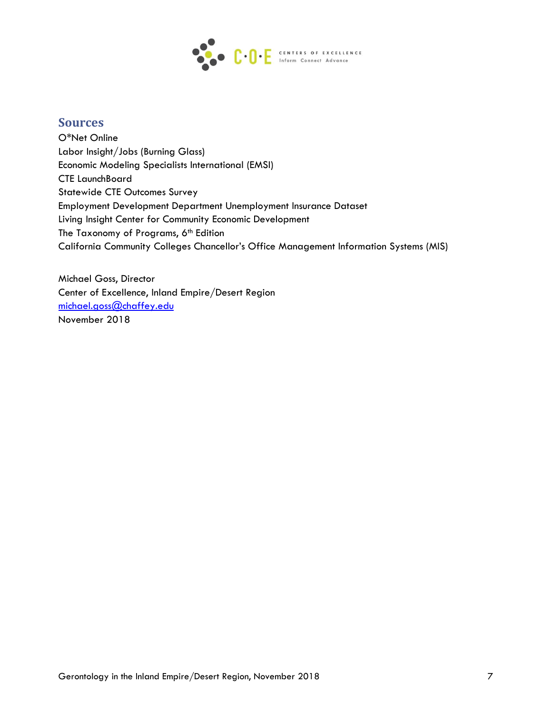

# **Sources**

O\*Net Online Labor Insight/Jobs (Burning Glass) Economic Modeling Specialists International (EMSI) CTE LaunchBoard Statewide CTE Outcomes Survey Employment Development Department Unemployment Insurance Dataset Living Insight Center for Community Economic Development The Taxonomy of Programs, 6<sup>th</sup> Edition California Community Colleges Chancellor's Office Management Information Systems (MIS)

Michael Goss, Director Center of Excellence, Inland Empire/Desert Region [michael.goss@chaffey.edu](mailto:michael.goss@chaffey.edu) November 2018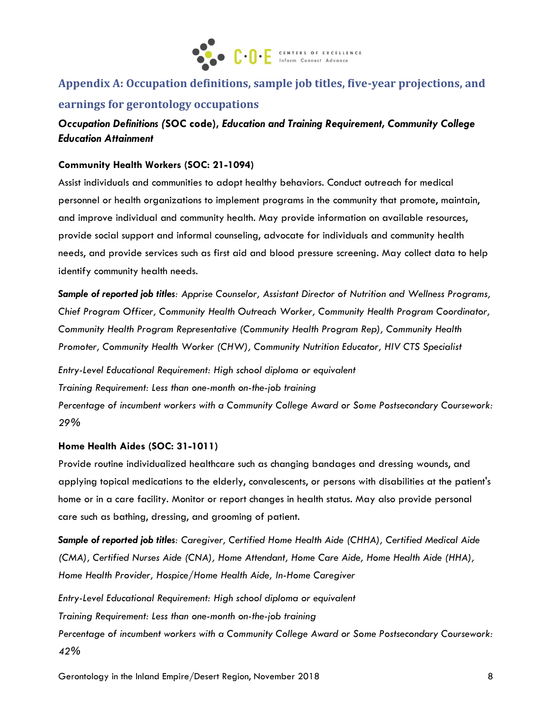

# **Appendix A: Occupation definitions, sample job titles, five-year projections, and earnings for gerontology occupations**

### *Occupation Definitions (***SOC code),** *Education and Training Requirement, Community College Education Attainment*

#### **Community Health Workers (SOC: 21-1094)**

Assist individuals and communities to adopt healthy behaviors. Conduct outreach for medical personnel or health organizations to implement programs in the community that promote, maintain, and improve individual and community health. May provide information on available resources, provide social support and informal counseling, advocate for individuals and community health needs, and provide services such as first aid and blood pressure screening. May collect data to help identify community health needs.

*Sample of reported job titles: Apprise Counselor, Assistant Director of Nutrition and Wellness Programs, Chief Program Officer, Community Health Outreach Worker, Community Health Program Coordinator, Community Health Program Representative (Community Health Program Rep), Community Health Promoter, Community Health Worker (CHW), Community Nutrition Educator, HIV CTS Specialist* 

*Entry-Level Educational Requirement: High school diploma or equivalent Training Requirement: Less than one-month on-the-job training Percentage of incumbent workers with a Community College Award or Some Postsecondary Coursework: 29%*

#### **Home Health Aides (SOC: 31-1011)**

Provide routine individualized healthcare such as changing bandages and dressing wounds, and applying topical medications to the elderly, convalescents, or persons with disabilities at the patient's home or in a care facility. Monitor or report changes in health status. May also provide personal care such as bathing, dressing, and grooming of patient.

*Sample of reported job titles: Caregiver, Certified Home Health Aide (CHHA), Certified Medical Aide (CMA), Certified Nurses Aide (CNA), Home Attendant, Home Care Aide, Home Health Aide (HHA), Home Health Provider, Hospice/Home Health Aide, In-Home Caregiver*

*Entry-Level Educational Requirement: High school diploma or equivalent Training Requirement: Less than one-month on-the-job training Percentage of incumbent workers with a Community College Award or Some Postsecondary Coursework: 42%*